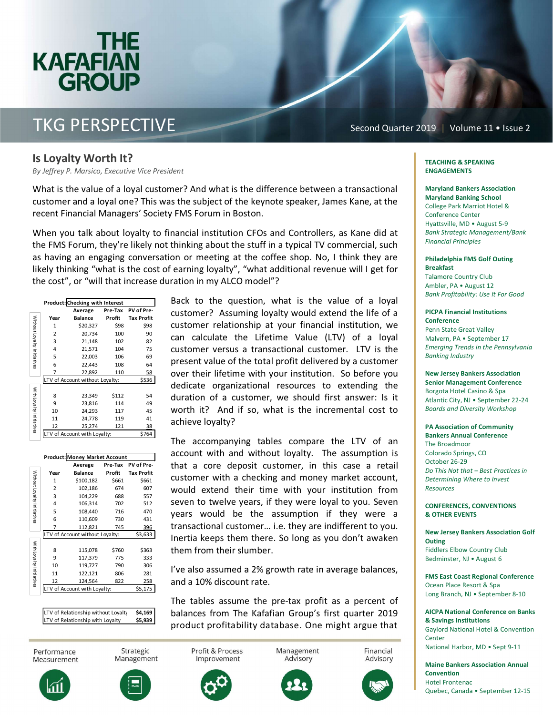### 11:13 **KAFAFIAN GROUP** i

## TKG PERSPECTIVE

Second Quarter 2019 | Volume 11 • Issue 2

#### Is Loyalty Worth It?

*By Jeffrey P. Marsico, Executive Vice President*

What is the value of a loyal customer? And what is the difference between a transactional customer and a loyal one? This was the subject of the keynote speaker, James Kane, at the recent Financial Managers' Society FMS Forum in Boston.

When you talk about loyalty to financial institution CFOs and Controllers, as Kane did at the FMS Forum, they're likely not thinking about the stuff in a typical TV commercial, such as having an engaging conversation or meeting at the coffee shop. No, I think they are likely thinking "what is the cost of earning loyalty", "what additional revenue will I get for the cost", or "will that increase duration in my ALCO model"?

|                             | <b>Product: Checking with Interest</b>   |                |         |                   |  |  |  |
|-----------------------------|------------------------------------------|----------------|---------|-------------------|--|--|--|
|                             |                                          | Average        | Pre-Tax | PV of Pre-        |  |  |  |
| Without Loyalty Initiatives | Year                                     | <b>Balance</b> | Profit  | <b>Tax Profit</b> |  |  |  |
|                             | 1                                        | \$20,327       | \$98    | \$98              |  |  |  |
|                             | 2                                        | 20,734         | 100     | 90                |  |  |  |
|                             | 3                                        | 21,148         | 102     | 82                |  |  |  |
|                             | 4                                        | 21,571         | 104     | 75                |  |  |  |
|                             | 5                                        | 22,003         | 106     | 69                |  |  |  |
|                             | 6                                        | 22,443         | 108     | 64                |  |  |  |
|                             | 7                                        | 22,892         | 110     | 58                |  |  |  |
|                             | \$536<br>LTV of Account without Loyalty: |                |         |                   |  |  |  |
|                             |                                          |                |         |                   |  |  |  |
| With Loyalty Initiatives    | 8                                        | 23,349         | \$112   | 54                |  |  |  |
|                             | 9                                        | 23,816         | 114     | 49                |  |  |  |
|                             | 10                                       | 24,293         | 117     | 45                |  |  |  |
|                             | 11                                       | 24,778         | 119     | 41                |  |  |  |
|                             | 12                                       | 25,274         | 121     | 38                |  |  |  |
|                             | LTV of Account with Loyalty:             |                |         | \$764             |  |  |  |

| <b>Product: Money Market Account</b> |                                 |                |         |                   |  |  |  |
|--------------------------------------|---------------------------------|----------------|---------|-------------------|--|--|--|
|                                      |                                 | Average        | Pre-Tax | PV of Pre-        |  |  |  |
| Without Loyalty Initiatives          | Year                            | <b>Balance</b> | Profit  | <b>Tax Profit</b> |  |  |  |
|                                      | 1                               | \$100,182      | \$661   | \$661             |  |  |  |
|                                      | $\overline{2}$                  | 102,186        | 674     | 607               |  |  |  |
|                                      | 3                               | 104,229        | 688     | 557               |  |  |  |
|                                      | 4                               | 106,314        | 702     | 512               |  |  |  |
|                                      | 5                               | 108,440        | 716     | 470               |  |  |  |
|                                      | 6                               | 110,609        | 730     | 431               |  |  |  |
|                                      | 7                               | 112,821        | 745     | 396               |  |  |  |
|                                      | LTV of Account without Loyalty: | \$3,633        |         |                   |  |  |  |
| With Loyalty Initiatives             |                                 |                |         |                   |  |  |  |
|                                      | 8                               | 115,078        | \$760   | \$363             |  |  |  |
|                                      | 9                               | 117,379        | 775     | 333               |  |  |  |
|                                      | 10                              | 119,727        | 790     | 306               |  |  |  |
|                                      | 11                              | 122,121        | 806     | 281               |  |  |  |
|                                      | 12                              | 124,564        | 822     | 258               |  |  |  |
|                                      | LTV of Account with Loyalty:    |                |         | \$5,175           |  |  |  |
|                                      |                                 |                |         |                   |  |  |  |

LTV of Relationship without Loyalty \$4,169 LTV of Relationship with Loyalty \$5,939

Back to the question, what is the value of a loyal customer? Assuming loyalty would extend the life of a customer relationship at your financial institution, we can calculate the Lifetime Value (LTV) of a loyal customer versus a transactional customer. LTV is the present value of the total profit delivered by a customer over their lifetime with your institution. So before you dedicate organizational resources to extending the duration of a customer, we should first answer: Is it worth it? And if so, what is the incremental cost to achieve loyalty?

The accompanying tables compare the LTV of an account with and without loyalty. The assumption is that a core deposit customer, in this case a retail customer with a checking and money market account, would extend their time with your institution from seven to twelve years, if they were loyal to you. Seven years would be the assumption if they were a transactional customer… i.e. they are indifferent to you. Inertia keeps them there. So long as you don't awaken them from their slumber.

I've also assumed a 2% growth rate in average balances, and a 10% discount rate.

The tables assume the pre-tax profit as a percent of balances from The Kafafian Group's first quarter 2019 product profitability database. One might argue that



Strategic Management



Management Advisory



Financial Advisory



#### TEACHING & SPEAKING ENGAGEMENTS

Maryland Bankers Association Maryland Banking School College Park Marriot Hotel & Conference Center Hyattsville, MD · August 5-9 *Bank Strategic Management/Bank Financial Principles* 

Philadelphia FMS Golf Outing Breakfast Talamore Country Club Ambler, PA • August 12 *Bank Profitability: Use It For Good* 

#### PICPA Financial Institutions Conference Penn State Great Valley Malvern, PA • September 17

*Emerging Trends in the Pennsylvania Banking Industry* 

New Jersey Bankers Association Senior Management Conference Borgota Hotel Casino & Spa Atlantic City, NJ · September 22-24 *Boards and Diversity Workshop* 

#### PA Association of Community Bankers Annual Conference

The Broadmoor Colorado Springs, CO October 26-29 *Do This Not that – Best Practices in Determining Where to Invest Resources* 

#### CONFERENCES, CONVENTIONS & OTHER EVENTS

New Jersey Bankers Association Golf **Outing** Fiddlers Elbow Country Club Bedminster, NJ • August 6

FMS East Coast Regional Conference Ocean Place Resort & Spa Long Branch, NJ • September 8-10

AICPA National Conference on Banks & Savings Institutions Gaylord National Hotel & Convention **Center** National Harbor, MD • Sept 9-11

Maine Bankers Association Annual Convention Hotel Frontenac Quebec, Canada • September 12-15





Profit & Process Improvement